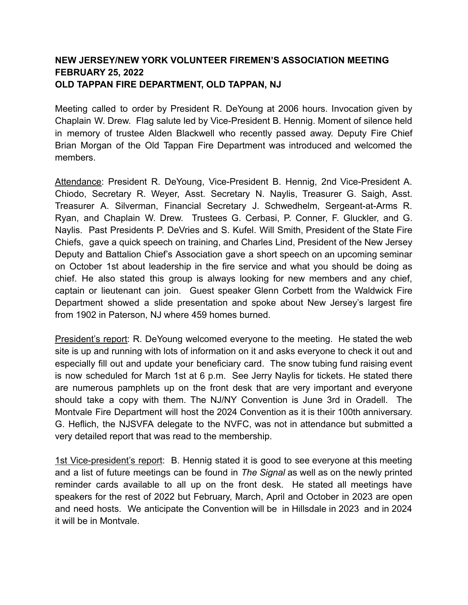## **NEW JERSEY/NEW YORK VOLUNTEER FIREMEN'S ASSOCIATION MEETING FEBRUARY 25, 2022 OLD TAPPAN FIRE DEPARTMENT, OLD TAPPAN, NJ**

Meeting called to order by President R. DeYoung at 2006 hours. Invocation given by Chaplain W. Drew. Flag salute led by Vice-President B. Hennig. Moment of silence held in memory of trustee Alden Blackwell who recently passed away. Deputy Fire Chief Brian Morgan of the Old Tappan Fire Department was introduced and welcomed the members.

Attendance: President R. DeYoung, Vice-President B. Hennig, 2nd Vice-President A. Chiodo, Secretary R. Weyer, Asst. Secretary N. Naylis, Treasurer G. Saigh, Asst. Treasurer A. Silverman, Financial Secretary J. Schwedhelm, Sergeant-at-Arms R. Ryan, and Chaplain W. Drew. Trustees G. Cerbasi, P. Conner, F. Gluckler, and G. Naylis. Past Presidents P. DeVries and S. Kufel. Will Smith, President of the State Fire Chiefs, gave a quick speech on training, and Charles Lind, President of the New Jersey Deputy and Battalion Chief's Association gave a short speech on an upcoming seminar on October 1st about leadership in the fire service and what you should be doing as chief. He also stated this group is always looking for new members and any chief, captain or lieutenant can join. Guest speaker Glenn Corbett from the Waldwick Fire Department showed a slide presentation and spoke about New Jersey's largest fire from 1902 in Paterson, NJ where 459 homes burned.

President's report: R. DeYoung welcomed everyone to the meeting. He stated the web site is up and running with lots of information on it and asks everyone to check it out and especially fill out and update your beneficiary card. The snow tubing fund raising event is now scheduled for March 1st at 6 p.m. See Jerry Naylis for tickets. He stated there are numerous pamphlets up on the front desk that are very important and everyone should take a copy with them. The NJ/NY Convention is June 3rd in Oradell. The Montvale Fire Department will host the 2024 Convention as it is their 100th anniversary. G. Heflich, the NJSVFA delegate to the NVFC, was not in attendance but submitted a very detailed report that was read to the membership.

1st Vice-president's report: B. Hennig stated it is good to see everyone at this meeting and a list of future meetings can be found in *The Signal* as well as on the newly printed reminder cards available to all up on the front desk. He stated all meetings have speakers for the rest of 2022 but February, March, April and October in 2023 are open and need hosts. We anticipate the Convention will be in Hillsdale in 2023 and in 2024 it will be in Montvale.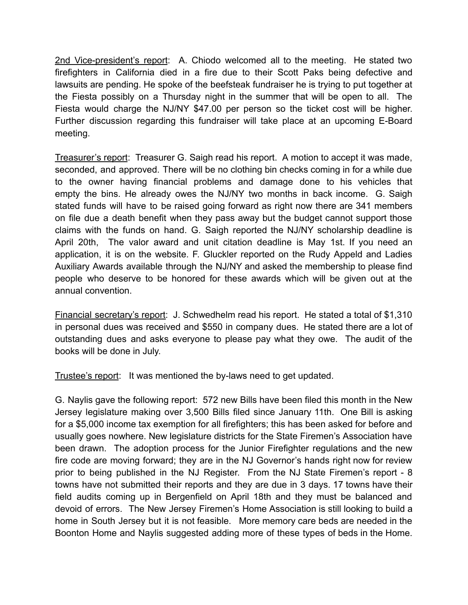2nd Vice-president's report: A. Chiodo welcomed all to the meeting. He stated two firefighters in California died in a fire due to their Scott Paks being defective and lawsuits are pending. He spoke of the beefsteak fundraiser he is trying to put together at the Fiesta possibly on a Thursday night in the summer that will be open to all. The Fiesta would charge the NJ/NY \$47.00 per person so the ticket cost will be higher. Further discussion regarding this fundraiser will take place at an upcoming E-Board meeting.

Treasurer's report: Treasurer G. Saigh read his report. A motion to accept it was made, seconded, and approved. There will be no clothing bin checks coming in for a while due to the owner having financial problems and damage done to his vehicles that empty the bins. He already owes the NJ/NY two months in back income. G. Saigh stated funds will have to be raised going forward as right now there are 341 members on file due a death benefit when they pass away but the budget cannot support those claims with the funds on hand. G. Saigh reported the NJ/NY scholarship deadline is April 20th, The valor award and unit citation deadline is May 1st. If you need an application, it is on the website. F. Gluckler reported on the Rudy Appeld and Ladies Auxiliary Awards available through the NJ/NY and asked the membership to please find people who deserve to be honored for these awards which will be given out at the annual convention.

Financial secretary's report: J. Schwedhelm read his report. He stated a total of \$1,310 in personal dues was received and \$550 in company dues. He stated there are a lot of outstanding dues and asks everyone to please pay what they owe. The audit of the books will be done in July.

Trustee's report: It was mentioned the by-laws need to get updated.

G. Naylis gave the following report: 572 new Bills have been filed this month in the New Jersey legislature making over 3,500 Bills filed since January 11th. One Bill is asking for a \$5,000 income tax exemption for all firefighters; this has been asked for before and usually goes nowhere. New legislature districts for the State Firemen's Association have been drawn. The adoption process for the Junior Firefighter regulations and the new fire code are moving forward; they are in the NJ Governor's hands right now for review prior to being published in the NJ Register. From the NJ State Firemen's report - 8 towns have not submitted their reports and they are due in 3 days. 17 towns have their field audits coming up in Bergenfield on April 18th and they must be balanced and devoid of errors. The New Jersey Firemen's Home Association is still looking to build a home in South Jersey but it is not feasible. More memory care beds are needed in the Boonton Home and Naylis suggested adding more of these types of beds in the Home.